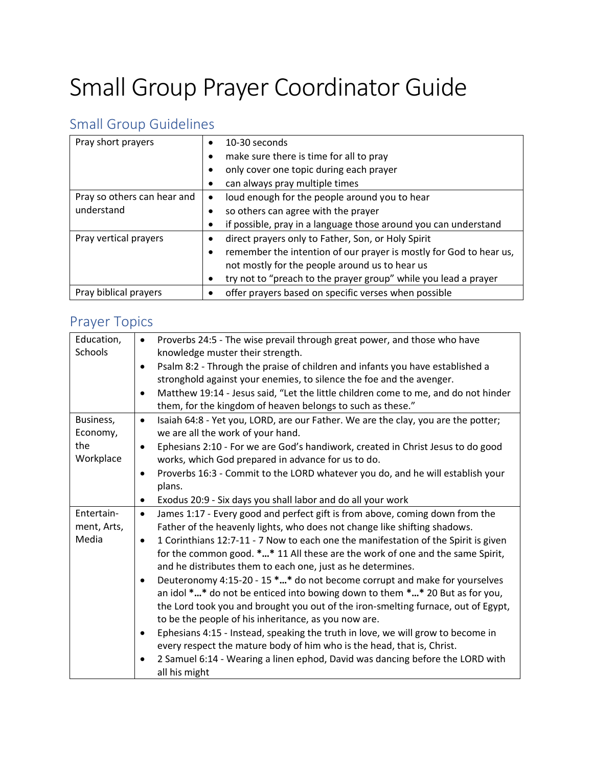## Small Group Prayer Coordinator Guide

## Small Group Guidelines

| Pray short prayers          | 10-30 seconds                                                      |
|-----------------------------|--------------------------------------------------------------------|
|                             | make sure there is time for all to pray                            |
|                             | only cover one topic during each prayer                            |
|                             | can always pray multiple times                                     |
| Pray so others can hear and | loud enough for the people around you to hear                      |
| understand                  | so others can agree with the prayer                                |
|                             | if possible, pray in a language those around you can understand    |
| Pray vertical prayers       | direct prayers only to Father, Son, or Holy Spirit                 |
|                             | remember the intention of our prayer is mostly for God to hear us, |
|                             | not mostly for the people around us to hear us                     |
|                             | try not to "preach to the prayer group" while you lead a prayer    |
| Pray biblical prayers       | offer prayers based on specific verses when possible               |

## Prayer Topics

| Education,  | Proverbs 24:5 - The wise prevail through great power, and those who have<br>$\bullet$           |
|-------------|-------------------------------------------------------------------------------------------------|
| Schools     | knowledge muster their strength.                                                                |
|             | Psalm 8:2 - Through the praise of children and infants you have established a<br>$\bullet$      |
|             | stronghold against your enemies, to silence the foe and the avenger.                            |
|             | Matthew 19:14 - Jesus said, "Let the little children come to me, and do not hinder<br>$\bullet$ |
|             | them, for the kingdom of heaven belongs to such as these."                                      |
| Business,   | Isaiah 64:8 - Yet you, LORD, are our Father. We are the clay, you are the potter;<br>$\bullet$  |
| Economy,    | we are all the work of your hand.                                                               |
| the         | Ephesians 2:10 - For we are God's handiwork, created in Christ Jesus to do good<br>$\bullet$    |
| Workplace   | works, which God prepared in advance for us to do.                                              |
|             | Proverbs 16:3 - Commit to the LORD whatever you do, and he will establish your<br>$\bullet$     |
|             | plans.                                                                                          |
|             | Exodus 20:9 - Six days you shall labor and do all your work<br>$\bullet$                        |
| Entertain-  | James 1:17 - Every good and perfect gift is from above, coming down from the<br>$\bullet$       |
| ment, Arts, | Father of the heavenly lights, who does not change like shifting shadows.                       |
| Media       | 1 Corinthians 12:7-11 - 7 Now to each one the manifestation of the Spirit is given<br>$\bullet$ |
|             | for the common good. ** 11 All these are the work of one and the same Spirit,                   |
|             | and he distributes them to each one, just as he determines.                                     |
|             | Deuteronomy 4:15-20 - 15 ** do not become corrupt and make for yourselves<br>$\bullet$          |
|             | an idol ** do not be enticed into bowing down to them ** 20 But as for you,                     |
|             | the Lord took you and brought you out of the iron-smelting furnace, out of Egypt,               |
|             | to be the people of his inheritance, as you now are.                                            |
|             | Ephesians 4:15 - Instead, speaking the truth in love, we will grow to become in<br>$\bullet$    |
|             | every respect the mature body of him who is the head, that is, Christ.                          |
|             | 2 Samuel 6:14 - Wearing a linen ephod, David was dancing before the LORD with<br>٠              |
|             | all his might                                                                                   |